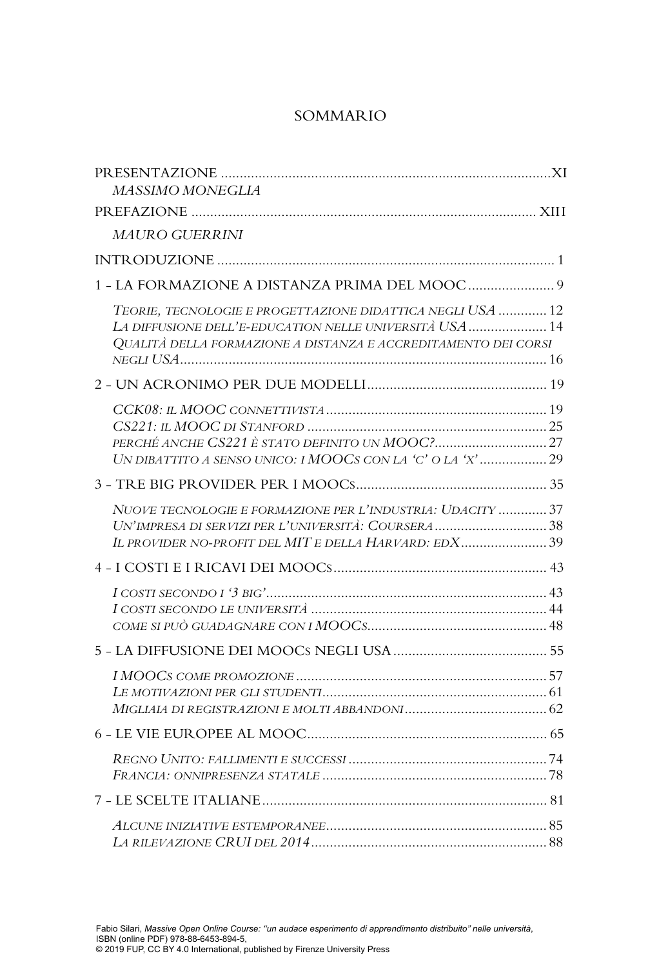## SOMMARIO

| MASSIMO MONEGLIA                                                                                                                                                                        |
|-----------------------------------------------------------------------------------------------------------------------------------------------------------------------------------------|
|                                                                                                                                                                                         |
| MAURO GUERRINI                                                                                                                                                                          |
|                                                                                                                                                                                         |
|                                                                                                                                                                                         |
| TEORIE, TECNOLOGIE E PROGETTAZIONE DIDATTICA NEGLI USA  12<br>LA DIFFUSIONE DELL'E-EDUCATION NELLE UNIVERSITÀ USA  14<br>QUALITÀ DELLA FORMAZIONE A DISTANZA E ACCREDITAMENTO DEI CORSI |
|                                                                                                                                                                                         |
| UN DIBATTITO A SENSO UNICO: I MOOCS CON LA 'C' O LA 'X' 29                                                                                                                              |
|                                                                                                                                                                                         |
| NUOVE TECNOLOGIE E FORMAZIONE PER L'INDUSTRIA: UDACITY  37<br>UN'IMPRESA DI SERVIZI PER L'UNIVERSITÀ: COURSERA 38<br>IL PROVIDER NO-PROFIT DEL MIT E DELLA HARVARD: EDX 39              |
|                                                                                                                                                                                         |
|                                                                                                                                                                                         |
|                                                                                                                                                                                         |
|                                                                                                                                                                                         |
|                                                                                                                                                                                         |
|                                                                                                                                                                                         |
|                                                                                                                                                                                         |
|                                                                                                                                                                                         |